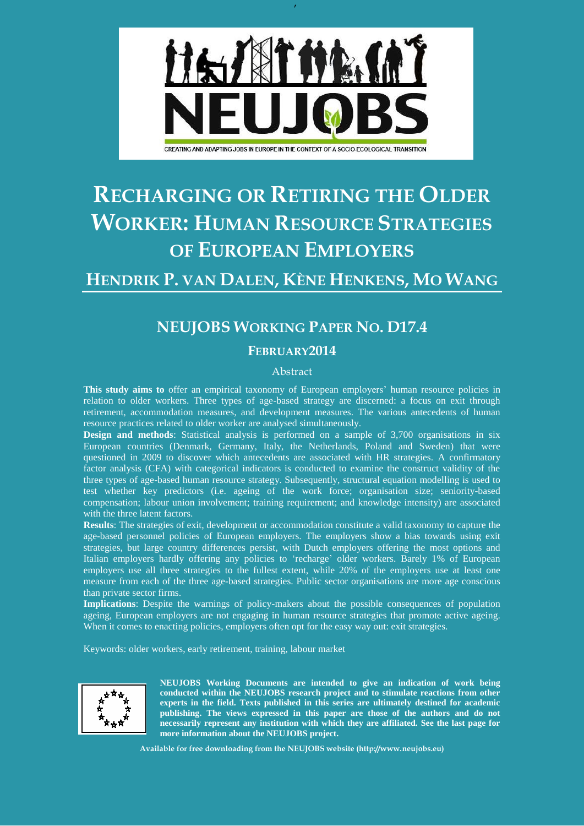

,

# **RECHARGING OR RETIRING THE OLDER WORKER: HUMAN RESOURCE STRATEGIES OF EUROPEAN EMPLOYERS**

# **HENDRIK P. VAN DALEN, KÈNE HENKENS, MO WANG**

# **NEUJOBS WORKING PAPER NO. D17.4**

#### **FEBRUARY2014**

#### Abstract

**This study aims to** offer an empirical taxonomy of European employers' human resource policies in relation to older workers. Three types of age-based strategy are discerned: a focus on exit through retirement, accommodation measures, and development measures. The various antecedents of human resource practices related to older worker are analysed simultaneously.

**Design and methods**: Statistical analysis is performed on a sample of 3,700 organisations in six European countries (Denmark, Germany, Italy, the Netherlands, Poland and Sweden) that were questioned in 2009 to discover which antecedents are associated with HR strategies. A confirmatory factor analysis (CFA) with categorical indicators is conducted to examine the construct validity of the three types of age-based human resource strategy. Subsequently, structural equation modelling is used to test whether key predictors (i.e. ageing of the work force; organisation size; seniority-based compensation; labour union involvement; training requirement; and knowledge intensity) are associated with the three latent factors.

**Results**: The strategies of exit, development or accommodation constitute a valid taxonomy to capture the age-based personnel policies of European employers. The employers show a bias towards using exit strategies, but large country differences persist, with Dutch employers offering the most options and Italian employers hardly offering any policies to 'recharge' older workers. Barely 1% of European employers use all three strategies to the fullest extent, while 20% of the employers use at least one measure from each of the three age-based strategies. Public sector organisations are more age conscious than private sector firms.

**Implications**: Despite the warnings of policy-makers about the possible consequences of population ageing, European employers are not engaging in human resource strategies that promote active ageing. When it comes to enacting policies, employers often opt for the easy way out: exit strategies.

Keywords: older workers, early retirement, training, labour market



**NEUJOBS Working Documents are intended to give an indication of work being conducted within the NEUJOBS research project and to stimulate reactions from other experts in the field. Texts published in this series are ultimately destined for academic publishing. The views expressed in this paper are those of the authors and do not necessarily represent any institution with which they are affiliated. See the last page for more information about the NEUJOBS project.**

**Available for free downloading from the NEUJOBS website (http://www.neujobs.eu)**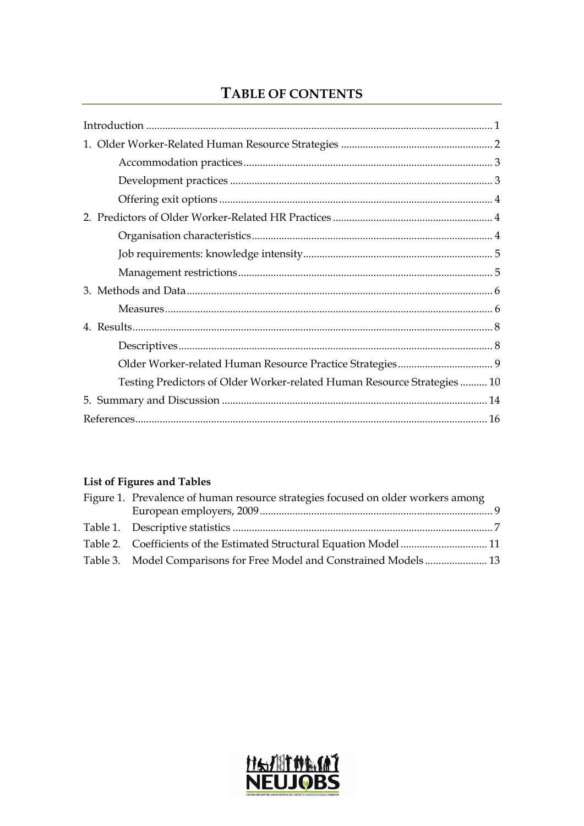# TABLE OF CONTENTS

| Testing Predictors of Older Worker-related Human Resource Strategies 10 |
|-------------------------------------------------------------------------|
|                                                                         |
|                                                                         |

# List of Figures and Tables

| Figure 1. Prevalence of human resource strategies focused on older workers among |  |
|----------------------------------------------------------------------------------|--|
|                                                                                  |  |
|                                                                                  |  |
| Table 2. Coefficients of the Estimated Structural Equation Model11               |  |
| Table 3. Model Comparisons for Free Model and Constrained Models 13              |  |

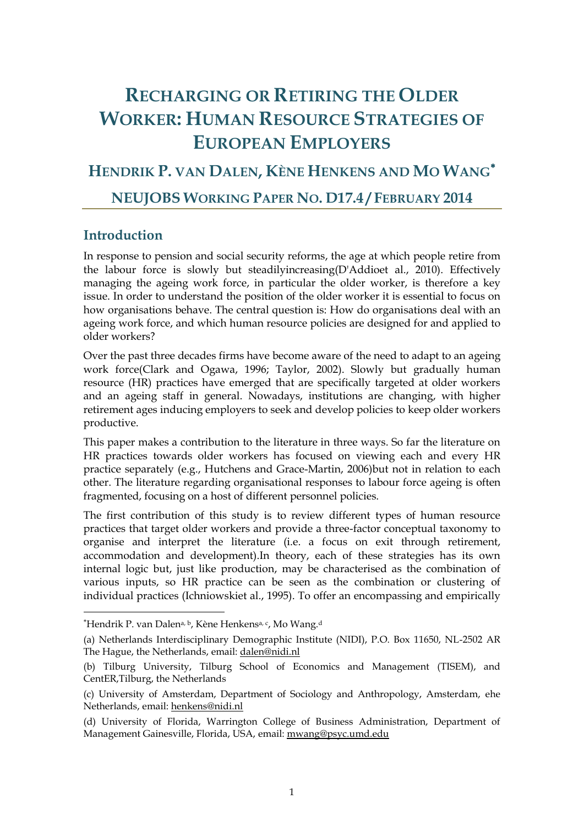# **RECHARGING OR RETIRING THE OLDER WORKER: HUMAN RESOURCE STRATEGIES OF EUROPEAN EMPLOYERS**

# **HENDRIK P. VAN DALEN, KÈNE HENKENS AND MO WANG**

### **NEUJOBS WORKING PAPER NO. D17.4 / FEBRUARY 2014**

### <span id="page-2-0"></span>**Introduction**

-

In response to pension and social security reforms, the age at which people retire from the labour force is slowly but steadilyincreasing[\(D'Addioet al.,](#page-17-1) 2010). Effectively managing the ageing work force, in particular the older worker, is therefore a key issue. In order to understand the position of the older worker it is essential to focus on how organisations behave. The central question is: How do organisations deal with an ageing work force, and which human resource policies are designed for and applied to older workers?

Over the past three decades firms have become aware of the need to adapt to an ageing work force[\(Clark and Ogawa,](#page-17-2) 1996; [Taylor,](#page-18-0) 2002). Slowly but gradually human resource (HR) practices have emerged that are specifically targeted at older workers and an ageing staff in general. Nowadays, institutions are changing, with higher retirement ages inducing employers to seek and develop policies to keep older workers productive.

This paper makes a contribution to the literature in three ways. So far the literature on HR practices towards older workers has focused on viewing each and every HR practice separately (e.g., [Hutchens and Grace-Martin,](#page-17-3) 2006)but not in relation to each other. The literature regarding organisational responses to labour force ageing is often fragmented, focusing on a host of different personnel policies.

The first contribution of this study is to review different types of human resource practices that target older workers and provide a three-factor conceptual taxonomy to organise and interpret the literature (i.e. a focus on exit through retirement, accommodation and development).In theory, each of these strategies has its own internal logic but, just like production, may be characterised as the combination of various inputs, so HR practice can be seen as the combination or clustering of individual practices [\(Ichniowskiet al.,](#page-17-4) 1995). To offer an encompassing and empirically

<sup>&</sup>lt;sup>\*</sup>Hendrik P. van Dalen<sup>a, b</sup>, Kène Henkens<sup>a, c</sup>, Mo Wang.<sup>d</sup>

<sup>(</sup>a) Netherlands Interdisciplinary Demographic Institute (NIDI), P.O. Box 11650, NL-2502 AR The Hague, the Netherlands, email: [dalen@nidi.nl](mailto:dalen@nidi.nl)

<sup>(</sup>b) Tilburg University, Tilburg School of Economics and Management (TISEM), and CentER,Tilburg, the Netherlands

<sup>(</sup>c) University of Amsterdam, Department of Sociology and Anthropology, Amsterdam, ehe Netherlands, email: [henkens@nidi.nl](mailto:henkens@nidi.nl)

<sup>(</sup>d) University of Florida, Warrington College of Business Administration, Department of Management Gainesville, Florida, USA, email[: mwang@psyc.umd.edu](mailto:mwang@psyc.umd.edu)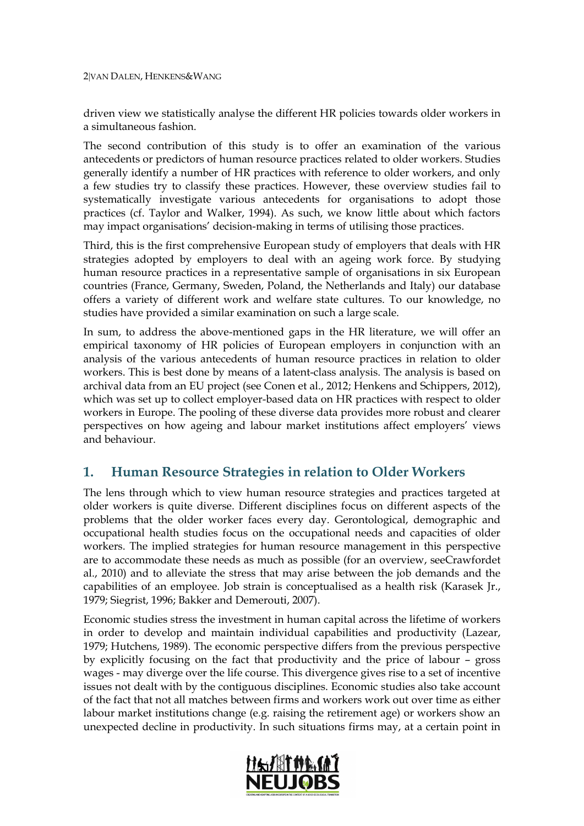2VAN DALEN, HENKENS&WANG

driven view we statistically analyse the different HR policies towards older workers in a simultaneous fashion.

The second contribution of this study is to offer an examination of the various antecedents or predictors of human resource practices related to older workers. Studies generally identify a number of HR practices with reference to older workers, and only a few studies try to classify these practices. However, these overview studies fail to systematically investigate various antecedents for organisations to adopt those practices (cf. [Taylor and Walker,](#page-18-1) 1994). As such, we know little about which factors may impact organisations' decision-making in terms of utilising those practices.

Third, this is the first comprehensive European study of employers that deals with HR strategies adopted by employers to deal with an ageing work force. By studying human resource practices in a representative sample of organisations in six European countries (France, Germany, Sweden, Poland, the Netherlands and Italy) our database offers a variety of different work and welfare state cultures. To our knowledge, no studies have provided a similar examination on such a large scale.

In sum, to address the above-mentioned gaps in the HR literature, we will offer an empirical taxonomy of HR policies of European employers in conjunction with an analysis of the various antecedents of human resource practices in relation to older workers. This is best done by means of a latent-class analysis. The analysis is based on archival data from an EU project (see Conen et al., 2012; Henkens and Schippers, 2012), which was set up to collect employer-based data on HR practices with respect to older workers in Europe. The pooling of these diverse data provides more robust and clearer perspectives on how ageing and labour market institutions affect employers' views and behaviour.

## <span id="page-3-0"></span>**1. Human Resource Strategies in relation to Older Workers**

The lens through which to view human resource strategies and practices targeted at older workers is quite diverse. Different disciplines focus on different aspects of the problems that the older worker faces every day. Gerontological, demographic and occupational health studies focus on the occupational needs and capacities of older workers. The implied strategies for human resource management in this perspective are to accommodate these needs as much as possible (for an overview, se[eCrawfordet](#page-17-5)  al., [2010\)](#page-17-5) and to alleviate the stress that may arise between the job demands and the capabilities of an employee. Job strain is conceptualised as a health risk [\(Karasek Jr.,](#page-18-2) [1979;](#page-18-2) [Siegrist,](#page-18-3) 1996[; Bakker and Demerouti,](#page-17-6) 2007).

Economic studies stress the investment in human capital across the lifetime of workers in order to develop and maintain individual capabilities and productivity [\(Lazear,](#page-18-4) [1979;](#page-18-4) [Hutchens,](#page-17-7) 1989). The economic perspective differs from the previous perspective by explicitly focusing on the fact that productivity and the price of labour – gross wages - may diverge over the life course. This divergence gives rise to a set of incentive issues not dealt with by the contiguous disciplines. Economic studies also take account of the fact that not all matches between firms and workers work out over time as either labour market institutions change (e.g. raising the retirement age) or workers show an unexpected decline in productivity. In such situations firms may, at a certain point in

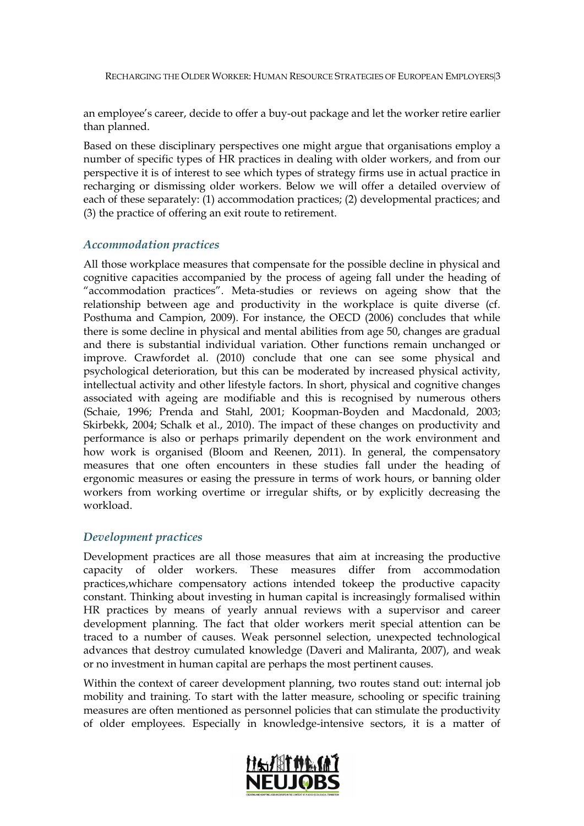an employee's career, decide to offer a buy-out package and let the worker retire earlier than planned.

Based on these disciplinary perspectives one might argue that organisations employ a number of specific types of HR practices in dealing with older workers, and from our perspective it is of interest to see which types of strategy firms use in actual practice in recharging or dismissing older workers. Below we will offer a detailed overview of each of these separately: (1) accommodation practices; (2) developmental practices; and (3) the practice of offering an exit route to retirement.

#### <span id="page-4-0"></span>*Accommodation practices*

All those workplace measures that compensate for the possible decline in physical and cognitive capacities accompanied by the process of ageing fall under the heading of "accommodation practices". Meta-studies or reviews on ageing show that the relationship between age and productivity in the workplace is quite diverse (cf. [Posthuma and Campion,](#page-18-5) 2009). For instance, the OECD (2006) concludes that while there is some decline in physical and mental abilities from age 50, changes are gradual and there is substantial individual variation. Other functions remain unchanged or improve. [Crawfordet al. \(2010\)](#page-17-5) conclude that one can see some physical and psychological deterioration, but this can be moderated by increased physical activity, intellectual activity and other lifestyle factors. In short, physical and cognitive changes associated with ageing are modifiable and this is recognised by numerous others [\(Schaie,](#page-18-6) 1996; [Prenda and Stahl,](#page-18-7) 2001; [Koopman-Boyden and Macdonald,](#page-18-8) 2003; [Skirbekk,](#page-18-9) 2004; [Schalk et al.,](#page-18-10) 2010). The impact of these changes on productivity and performance is also or perhaps primarily dependent on the work environment and how work is organised [\(Bloom and Reenen,](#page-17-8) 2011). In general, the compensatory measures that one often encounters in these studies fall under the heading of ergonomic measures or easing the pressure in terms of work hours, or banning older workers from working overtime or irregular shifts, or by explicitly decreasing the workload.

#### <span id="page-4-1"></span>*Development practices*

Development practices are all those measures that aim at increasing the productive capacity of older workers. These measures differ from accommodation practices,whichare compensatory actions intended tokeep the productive capacity constant. Thinking about investing in human capital is increasingly formalised within HR practices by means of yearly annual reviews with a supervisor and career development planning. The fact that older workers merit special attention can be traced to a number of causes. Weak personnel selection, unexpected technological advances that destroy cumulated knowledge [\(Daveri and Maliranta,](#page-17-9) 2007), and weak or no investment in human capital are perhaps the most pertinent causes.

Within the context of career development planning, two routes stand out: internal job mobility and training. To start with the latter measure, schooling or specific training measures are often mentioned as personnel policies that can stimulate the productivity of older employees. Especially in knowledge-intensive sectors, it is a matter of

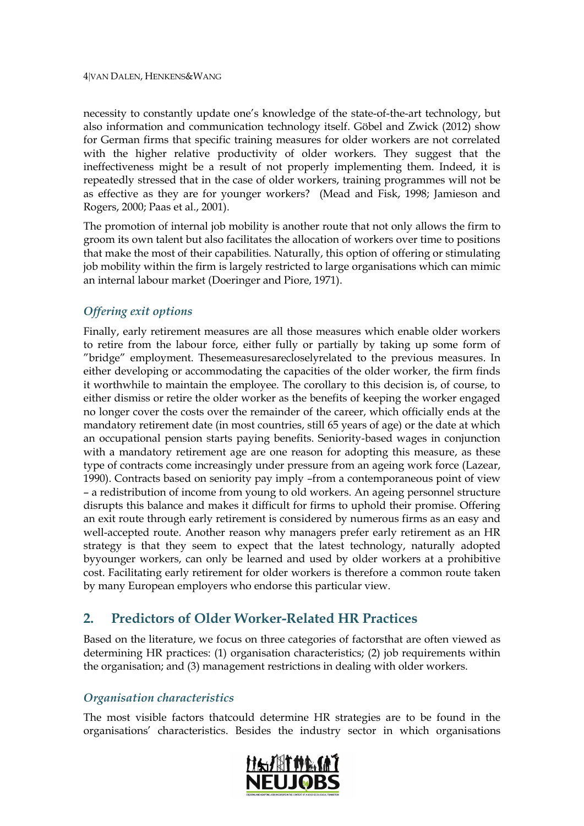necessity to constantly update one's knowledge of the state-of-the-art technology, but also information and communication technology itself. [Göbel and Zwick \(2012\)](#page-17-10) show for German firms that specific training measures for older workers are not correlated with the higher relative productivity of older workers. They suggest that the ineffectiveness might be a result of not properly implementing them. Indeed, it is repeatedly stressed that in the case of older workers, training programmes will not be as effective as they are for younger workers? [\(Mead and Fisk,](#page-18-11) 1998; [Jamieson and](#page-17-11)  [Rogers,](#page-17-11) 2000; [Paas et al.,](#page-18-12) 2001).

The promotion of internal job mobility is another route that not only allows the firm to groom its own talent but also facilitates the allocation of workers over time to positions that make the most of their capabilities. Naturally, this option of offering or stimulating job mobility within the firm is largely restricted to large organisations which can mimic an internal labour market [\(Doeringer and Piore,](#page-17-12) 1971).

### <span id="page-5-0"></span>*Offering exit options*

Finally, early retirement measures are all those measures which enable older workers to retire from the labour force, either fully or partially by taking up some form of "bridge" employment. Thesemeasuresarecloselyrelated to the previous measures. In either developing or accommodating the capacities of the older worker, the firm finds it worthwhile to maintain the employee. The corollary to this decision is, of course, to either dismiss or retire the older worker as the benefits of keeping the worker engaged no longer cover the costs over the remainder of the career, which officially ends at the mandatory retirement date (in most countries, still 65 years of age) or the date at which an occupational pension starts paying benefits. Seniority-based wages in conjunction with a mandatory retirement age are one reason for adopting this measure, as these type of contracts come increasingly under pressure from an ageing work force [\(Lazear,](#page-18-13) [1990\)](#page-18-13). Contracts based on seniority pay imply –from a contemporaneous point of view – a redistribution of income from young to old workers. An ageing personnel structure disrupts this balance and makes it difficult for firms to uphold their promise. Offering an exit route through early retirement is considered by numerous firms as an easy and well-accepted route. Another reason why managers prefer early retirement as an HR strategy is that they seem to expect that the latest technology, naturally adopted byyounger workers, can only be learned and used by older workers at a prohibitive cost. Facilitating early retirement for older workers is therefore a common route taken by many European employers who endorse this particular view.

# <span id="page-5-1"></span>**2. Predictors of Older Worker-Related HR Practices**

Based on the literature, we focus on three categories of factorsthat are often viewed as determining HR practices: (1) organisation characteristics; (2) job requirements within the organisation; and (3) management restrictions in dealing with older workers.

#### <span id="page-5-2"></span>*Organisation characteristics*

The most visible factors thatcould determine HR strategies are to be found in the organisations' characteristics. Besides the industry sector in which organisations

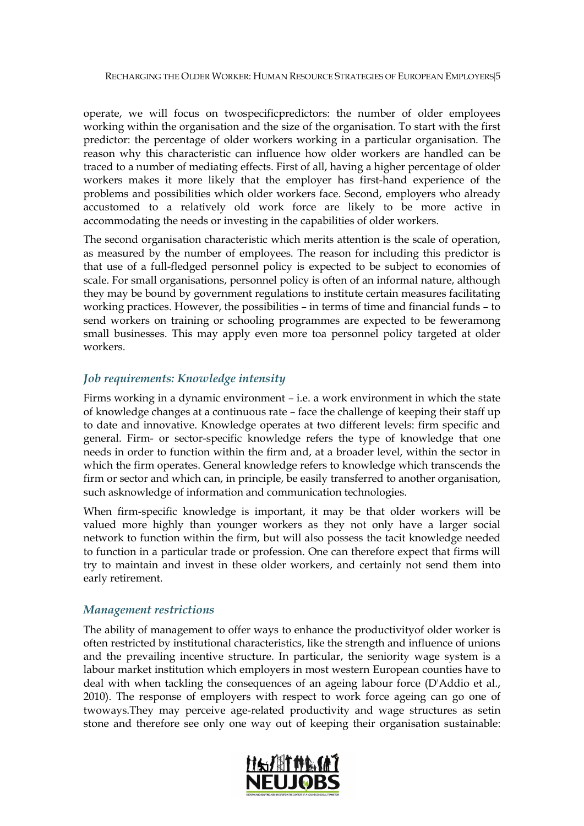operate, we will focus on twospecificpredictors: the number of older employees working within the organisation and the size of the organisation. To start with the first predictor: the percentage of older workers working in a particular organisation. The reason why this characteristic can influence how older workers are handled can be traced to a number of mediating effects. First of all, having a higher percentage of older workers makes it more likely that the employer has first-hand experience of the problems and possibilities which older workers face. Second, employers who already accustomed to a relatively old work force are likely to be more active in accommodating the needs or investing in the capabilities of older workers.

The second organisation characteristic which merits attention is the scale of operation, as measured by the number of employees. The reason for including this predictor is that use of a full-fledged personnel policy is expected to be subject to economies of scale. For small organisations, personnel policy is often of an informal nature, although they may be bound by government regulations to institute certain measures facilitating working practices. However, the possibilities – in terms of time and financial funds – to send workers on training or schooling programmes are expected to be feweramong small businesses. This may apply even more toa personnel policy targeted at older workers.

#### <span id="page-6-0"></span>*Job requirements: Knowledge intensity*

Firms working in a dynamic environment – i.e. a work environment in which the state of knowledge changes at a continuous rate – face the challenge of keeping their staff up to date and innovative. Knowledge operates at two different levels: firm specific and general. Firm- or sector-specific knowledge refers the type of knowledge that one needs in order to function within the firm and, at a broader level, within the sector in which the firm operates. General knowledge refers to knowledge which transcends the firm or sector and which can, in principle, be easily transferred to another organisation, such asknowledge of information and communication technologies.

When firm-specific knowledge is important, it may be that older workers will be valued more highly than younger workers as they not only have a larger social network to function within the firm, but will also possess the tacit knowledge needed to function in a particular trade or profession. One can therefore expect that firms will try to maintain and invest in these older workers, and certainly not send them into early retirement.

#### <span id="page-6-1"></span>*Management restrictions*

The ability of management to offer ways to enhance the productivityof older worker is often restricted by institutional characteristics, like the strength and influence of unions and the prevailing incentive structure. In particular, the seniority wage system is a labour market institution which employers in most western European counties have to deal with when tackling the consequences of an ageing labour force [\(D'Addio et al.,](#page-17-1) [2010\)](#page-17-1). The response of employers with respect to work force ageing can go one of twoways.They may perceive age-related productivity and wage structures as setin stone and therefore see only one way out of keeping their organisation sustainable:

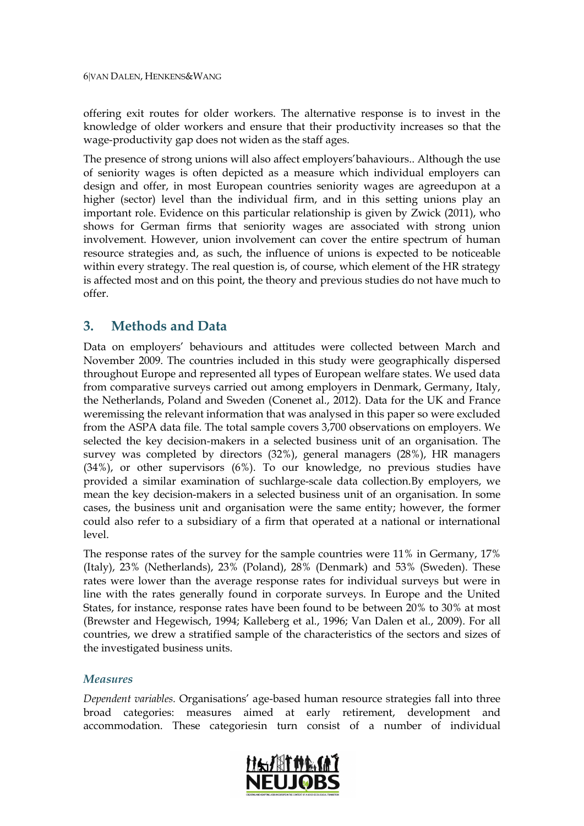offering exit routes for older workers. The alternative response is to invest in the knowledge of older workers and ensure that their productivity increases so that the wage-productivity gap does not widen as the staff ages.

The presence of strong unions will also affect employers'bahaviours.. Although the use of seniority wages is often depicted as a measure which individual employers can design and offer, in most European countries seniority wages are agreedupon at a higher (sector) level than the individual firm, and in this setting unions play an important role. Evidence on this particular relationship is given by [Zwick \(2011\)](#page-19-0), who shows for German firms that seniority wages are associated with strong union involvement. However, union involvement can cover the entire spectrum of human resource strategies and, as such, the influence of unions is expected to be noticeable within every strategy. The real question is, of course, which element of the HR strategy is affected most and on this point, the theory and previous studies do not have much to offer.

## <span id="page-7-0"></span>**3. Methods and Data**

Data on employers' behaviours and attitudes were collected between March and November 2009. The countries included in this study were geographically dispersed throughout Europe and represented all types of European welfare states. We used data from comparative surveys carried out among employers in Denmark, Germany, Italy, the Netherlands, Poland and Sweden [\(Conenet al.,](#page-17-13) 2012). Data for the UK and France weremissing the relevant information that was analysed in this paper so were excluded from the ASPA data file. The total sample covers 3,700 observations on employers. We selected the key decision-makers in a selected business unit of an organisation. The survey was completed by directors (32%), general managers (28%), HR managers (34%), or other supervisors (6%). To our knowledge, no previous studies have provided a similar examination of suchlarge-scale data collection.By employers, we mean the key decision-makers in a selected business unit of an organisation. In some cases, the business unit and organisation were the same entity; however, the former could also refer to a subsidiary of a firm that operated at a national or international level.

The response rates of the survey for the sample countries were 11% in Germany, 17% (Italy), 23% (Netherlands), 23% (Poland), 28% (Denmark) and 53% (Sweden). These rates were lower than the average response rates for individual surveys but were in line with the rates generally found in corporate surveys. In Europe and the United States, for instance, response rates have been found to be between 20% to 30% at most [\(Brewster and Hegewisch,](#page-17-14) 1994; [Kalleberg et al.,](#page-17-15) 1996; [Van Dalen et al.,](#page-18-14) 2009). For all countries, we drew a stratified sample of the characteristics of the sectors and sizes of the investigated business units.

#### <span id="page-7-1"></span>*Measures*

*Dependent variables.* Organisations' age-based human resource strategies fall into three broad categories: measures aimed at early retirement, development and accommodation. These categoriesin turn consist of a number of individual

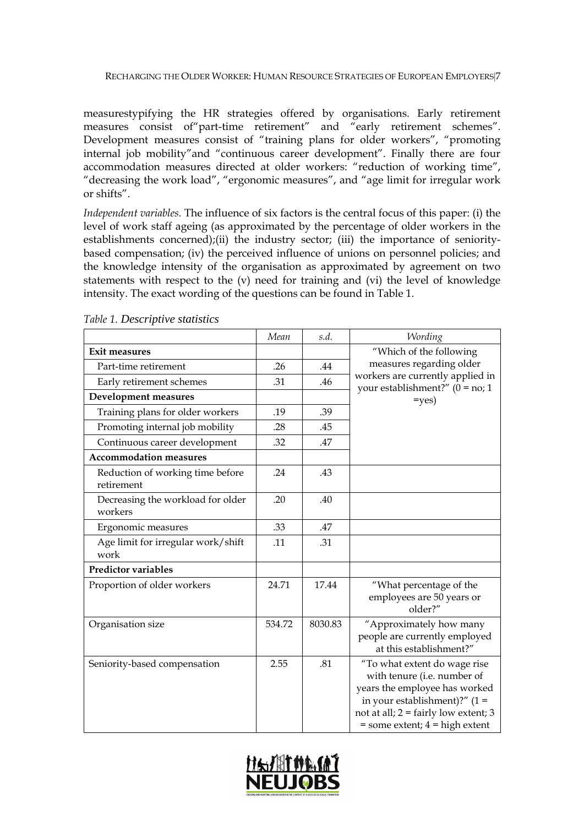measurestypifying the HR strategies offered by organisations. Early retirement measures consist of part-time retirement" and "early retirement schemes". Development measures consist of "training plans for older workers", "promoting internal job mobility"and "continuous career development". Finally there are four accommodation measures directed at older workers: "reduction of working time", "decreasing the work load", "ergonomic measures", and "age limit for irregular work or shifts".

*Independent variables.* The influence of six factors is the central focus of this paper: (i) the level of work staff ageing (as approximated by the percentage of older workers in the establishments concerned);(ii) the industry sector; (iii) the importance of senioritybased compensation; (iv) the perceived influence of unions on personnel policies; and the knowledge intensity of the organisation as approximated by agreement on two statements with respect to the (v) need for training and (vi) the level of knowledge intensity. The exact wording of the questions can be found in Table 1.

|                                                | Mean   | s.d.    | Wording                                                                                                                                                                                                                 |  |  |  |  |
|------------------------------------------------|--------|---------|-------------------------------------------------------------------------------------------------------------------------------------------------------------------------------------------------------------------------|--|--|--|--|
| <b>Exit measures</b>                           |        |         | "Which of the following                                                                                                                                                                                                 |  |  |  |  |
| Part-time retirement                           | .26    | .44     | measures regarding older                                                                                                                                                                                                |  |  |  |  |
| Early retirement schemes                       | .31    | .46     | workers are currently applied in<br>your establishment?" $(0 = no; 1)$                                                                                                                                                  |  |  |  |  |
| <b>Development measures</b>                    |        |         | $=$ yes)                                                                                                                                                                                                                |  |  |  |  |
| Training plans for older workers               | .19    | .39     |                                                                                                                                                                                                                         |  |  |  |  |
| Promoting internal job mobility                | .28    | .45     |                                                                                                                                                                                                                         |  |  |  |  |
| Continuous career development                  | .32    | .47     |                                                                                                                                                                                                                         |  |  |  |  |
| <b>Accommodation measures</b>                  |        |         |                                                                                                                                                                                                                         |  |  |  |  |
| Reduction of working time before<br>retirement | .24    | .43     |                                                                                                                                                                                                                         |  |  |  |  |
| Decreasing the workload for older<br>workers   | .20    | .40     |                                                                                                                                                                                                                         |  |  |  |  |
| Ergonomic measures                             | .33    | .47     |                                                                                                                                                                                                                         |  |  |  |  |
| Age limit for irregular work/shift<br>work     | .11    | .31     |                                                                                                                                                                                                                         |  |  |  |  |
| <b>Predictor variables</b>                     |        |         |                                                                                                                                                                                                                         |  |  |  |  |
| Proportion of older workers                    | 24.71  | 17.44   | "What percentage of the<br>employees are 50 years or<br>older?"                                                                                                                                                         |  |  |  |  |
| Organisation size                              | 534.72 | 8030.83 | "Approximately how many<br>people are currently employed<br>at this establishment?"                                                                                                                                     |  |  |  |  |
| Seniority-based compensation                   | 2.55   | .81     | "To what extent do wage rise<br>with tenure (i.e. number of<br>years the employee has worked<br>in your establishment)?" $(1 =$<br>not at all; $2 = \text{fairly low extent}$ ; 3<br>$=$ some extent; $4 =$ high extent |  |  |  |  |

<span id="page-8-0"></span>*Table 1. Descriptive statistics*

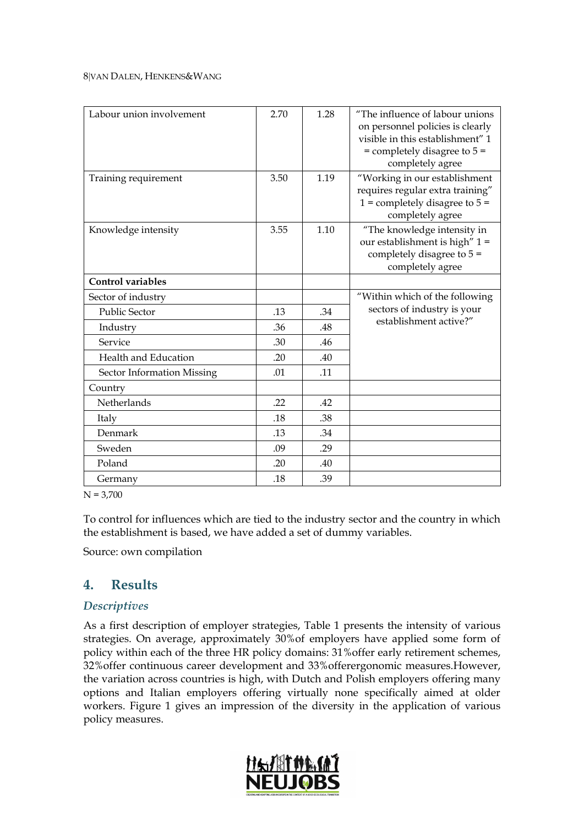#### 8VAN DALEN, HENKENS&WANG

| Labour union involvement   | 2.70 | 1.28 | "The influence of labour unions"<br>on personnel policies is clearly<br>visible in this establishment" 1<br>$=$ completely disagree to $5 =$<br>completely agree |
|----------------------------|------|------|------------------------------------------------------------------------------------------------------------------------------------------------------------------|
| Training requirement       | 3.50 | 1.19 | "Working in our establishment<br>requires regular extra training"<br>$1 =$ completely disagree to $5 =$<br>completely agree                                      |
| Knowledge intensity        | 3.55 | 1.10 | "The knowledge intensity in<br>our establishment is high" 1 =<br>completely disagree to $5 =$<br>completely agree                                                |
| <b>Control variables</b>   |      |      |                                                                                                                                                                  |
| Sector of industry         |      |      | "Within which of the following                                                                                                                                   |
| <b>Public Sector</b>       | .13  | .34  | sectors of industry is your                                                                                                                                      |
| Industry                   | .36  | .48  | establishment active?"                                                                                                                                           |
| Service                    | .30  | .46  |                                                                                                                                                                  |
| Health and Education       | .20  | .40  |                                                                                                                                                                  |
| Sector Information Missing | .01  | .11  |                                                                                                                                                                  |
| Country                    |      |      |                                                                                                                                                                  |
| Netherlands                | .22  | .42  |                                                                                                                                                                  |
| Italy                      | .18  | .38  |                                                                                                                                                                  |
| Denmark                    | .13  | .34  |                                                                                                                                                                  |
| Sweden                     | .09  | .29  |                                                                                                                                                                  |
| Poland                     | .20  | .40  |                                                                                                                                                                  |
| Germany                    | .18  | .39  |                                                                                                                                                                  |

 $N = 3,700$ 

To control for influences which are tied to the industry sector and the country in which the establishment is based, we have added a set of dummy variables.

Source: own compilation

## <span id="page-9-0"></span>**4. Results**

#### <span id="page-9-1"></span>*Descriptives*

As a first description of employer strategies, Table 1 presents the intensity of various strategies. On average, approximately 30%of employers have applied some form of policy within each of the three HR policy domains: 31%offer early retirement schemes, 32%offer continuous career development and 33%offerergonomic measures.However, the variation across countries is high, with Dutch and Polish employers offering many options and Italian employers offering virtually none specifically aimed at older workers. Figure 1 gives an impression of the diversity in the application of various policy measures.

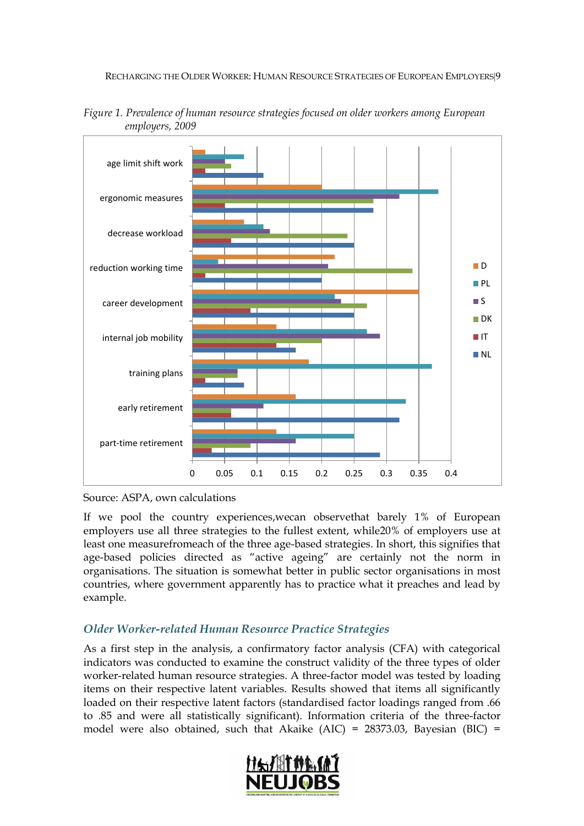

<span id="page-10-1"></span>*Figure 1. Prevalence of human resource strategies focused on older workers among European employers, 2009*

If we pool the country experiences,wecan observethat barely 1% of European employers use all three strategies to the fullest extent, while20% of employers use at least one measurefromeach of the three age-based strategies. In short, this signifies that age-based policies directed as "active ageing" are certainly not the norm in organisations. The situation is somewhat better in public sector organisations in most countries, where government apparently has to practice what it preaches and lead by example.

### <span id="page-10-0"></span>*Older Worker-related Human Resource Practice Strategies*

As a first step in the analysis, a confirmatory factor analysis (CFA) with categorical indicators was conducted to examine the construct validity of the three types of older worker-related human resource strategies. A three-factor model was tested by loading items on their respective latent variables. Results showed that items all significantly loaded on their respective latent factors (standardised factor loadings ranged from .66 to .85 and were all statistically significant). Information criteria of the three-factor model were also obtained, such that Akaike (AIC) =  $28373.03$ , Bayesian (BIC) =



Source: ASPA, own calculations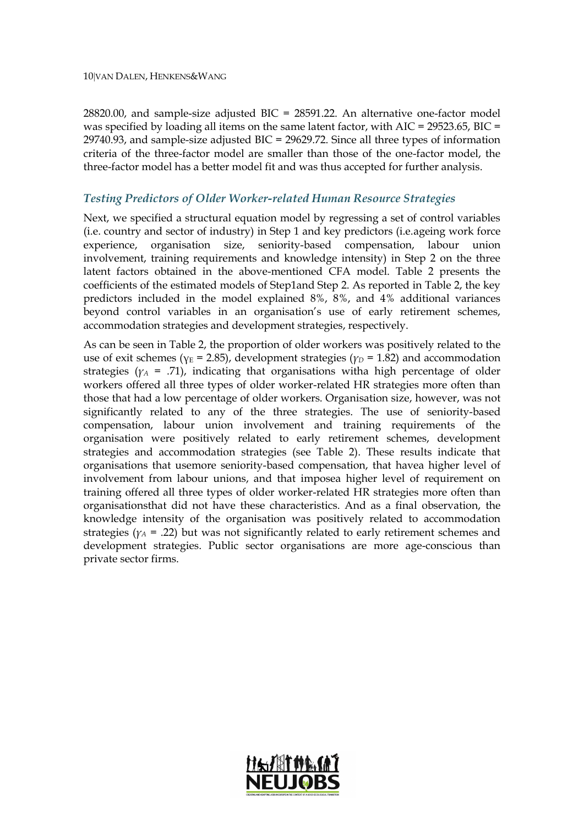28820.00, and sample-size adjusted BIC = 28591.22. An alternative one-factor model was specified by loading all items on the same latent factor, with  $AIC = 29523.65$ ,  $BIC =$ 29740.93, and sample-size adjusted BIC = 29629.72. Since all three types of information criteria of the three-factor model are smaller than those of the one-factor model, the three-factor model has a better model fit and was thus accepted for further analysis.

#### <span id="page-11-0"></span>*Testing Predictors of Older Worker-related Human Resource Strategies*

Next, we specified a structural equation model by regressing a set of control variables (i.e. country and sector of industry) in Step 1 and key predictors (i.e.ageing work force experience, organisation size, seniority-based compensation, labour union involvement, training requirements and knowledge intensity) in Step 2 on the three latent factors obtained in the above-mentioned CFA model. Table 2 presents the coefficients of the estimated models of Step1and Step 2. As reported in Table 2, the key predictors included in the model explained 8%, 8%, and 4% additional variances beyond control variables in an organisation's use of early retirement schemes, accommodation strategies and development strategies, respectively.

As can be seen in Table 2, the proportion of older workers was positively related to the use of exit schemes ( $\gamma$ <sup>E</sup> = 2.85), development strategies ( $\gamma$ <sup>D</sup> = 1.82) and accommodation strategies ( $\gamma_A$  = .71), indicating that organisations witha high percentage of older workers offered all three types of older worker-related HR strategies more often than those that had a low percentage of older workers. Organisation size, however, was not significantly related to any of the three strategies. The use of seniority-based compensation, labour union involvement and training requirements of the organisation were positively related to early retirement schemes, development strategies and accommodation strategies (see Table 2). These results indicate that organisations that usemore seniority-based compensation, that havea higher level of involvement from labour unions, and that imposea higher level of requirement on training offered all three types of older worker-related HR strategies more often than organisationsthat did not have these characteristics. And as a final observation, the knowledge intensity of the organisation was positively related to accommodation strategies ( $\gamma_A$  = .22) but was not significantly related to early retirement schemes and development strategies. Public sector organisations are more age-conscious than private sector firms.

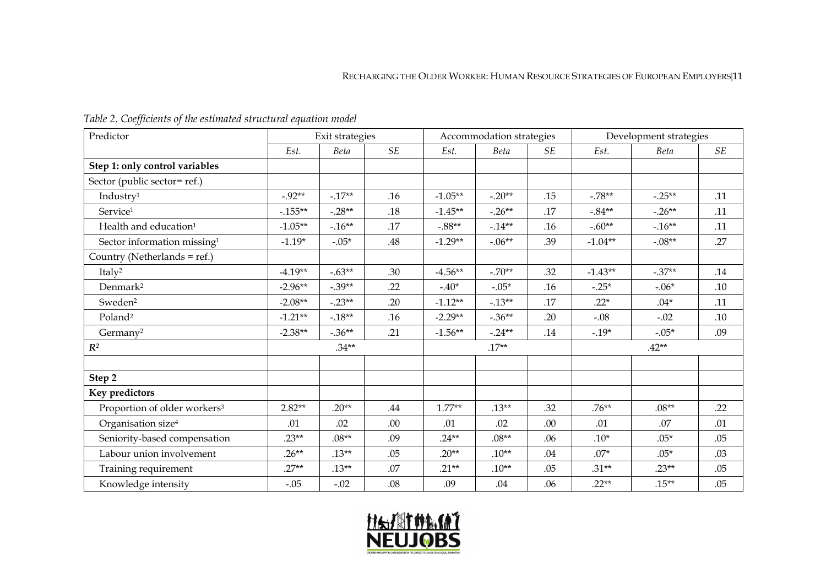#### RECHARGING THE OLDER WORKER: HUMAN RESOURCE STRATEGIES OF EUROPEAN EMPLOYERS 11

<span id="page-12-0"></span>

| Predictor                                |            | Exit strategies |           | Accommodation strategies |           |           | Development strategies |          |     |
|------------------------------------------|------------|-----------------|-----------|--------------------------|-----------|-----------|------------------------|----------|-----|
|                                          | Est.       | Beta            | <b>SE</b> | Est.                     | Beta      | <b>SE</b> | Est.                   | Beta     | SE  |
| Step 1: only control variables           |            |                 |           |                          |           |           |                        |          |     |
| Sector (public sector= ref.)             |            |                 |           |                          |           |           |                        |          |     |
| Industry <sup>1</sup>                    | $-0.92**$  | $-.17**$        | .16       | $-1.05**$                | $-.20**$  | .15       | $-.78**$               | $-.25**$ | .11 |
| Service <sup>1</sup>                     | $-0.155**$ | $-.28**$        | .18       | $-1.45**$                | $-.26**$  | .17       | $-.84**$               | $-.26**$ | .11 |
| Health and education <sup>1</sup>        | $-1.05**$  | $-.16**$        | .17       | $-.88**$                 | $-14**$   | .16       | $-.60**$               | $-16**$  | .11 |
| Sector information missing <sup>1</sup>  | $-1.19*$   | $-.05*$         | .48       | $-1.29**$                | $-.06**$  | .39       | $-1.04**$              | $-.08**$ | .27 |
| Country (Netherlands = ref.)             |            |                 |           |                          |           |           |                        |          |     |
| Italy <sup>2</sup>                       | $-4.19**$  | $-.63**$        | .30       | $-4.56**$                | $-.70**$  | .32       | $-1.43**$              | $-.37**$ | .14 |
| Denmark <sup>2</sup>                     | $-2.96**$  | $-.39**$        | .22       | $-.40*$                  | $-.05*$   | .16       | $-.25*$                | $-.06*$  | .10 |
| Sweden <sup>2</sup>                      | $-2.08**$  | $-.23**$        | .20       | $-1.12**$                | $-.13**$  | .17       | $.22*$                 | $.04*$   | .11 |
| Poland <sup>2</sup>                      | $-1.21**$  | $-.18**$        | .16       | $-2.29**$                | $-.36***$ | .20       | $-.08$                 | $-.02$   | .10 |
| Germany <sup>2</sup>                     | $-2.38**$  | $-.36**$        | .21       | $-1.56***$               | $-.24**$  | .14       | $-.19*$                | $-.05*$  | .09 |
| $R^2$                                    | $.34**$    |                 |           | $.17**$                  |           |           | $.42**$                |          |     |
|                                          |            |                 |           |                          |           |           |                        |          |     |
| Step 2                                   |            |                 |           |                          |           |           |                        |          |     |
| Key predictors                           |            |                 |           |                          |           |           |                        |          |     |
| Proportion of older workers <sup>3</sup> | $2.82**$   | $.20**$         | .44       | $1.77**$                 | $.13**$   | .32       | $.76***$               | $.08**$  | .22 |
| Organisation size <sup>4</sup>           | .01        | .02             | .00       | .01                      | .02       | .00       | .01                    | .07      | .01 |
| Seniority-based compensation             | $.23**$    | $.08**$         | .09       | $.24**$                  | $.08**$   | .06       | $.10*$                 | $.05*$   | .05 |
| Labour union involvement                 | $.26**$    | $.13***$        | .05       | $.20**$                  | $.10**$   | .04       | $.07*$                 | $.05*$   | .03 |
| Training requirement                     | $.27**$    | $.13***$        | .07       | $.21**$                  | $.10**$   | .05       | $.31**$                | $.23**$  | .05 |
| Knowledge intensity                      | $-.05$     | $-.02$          | .08       | .09                      | .04       | .06       | $.22**$                | $.15**$  | .05 |

# *Table 2. Coefficients of the estimated structural equation model*

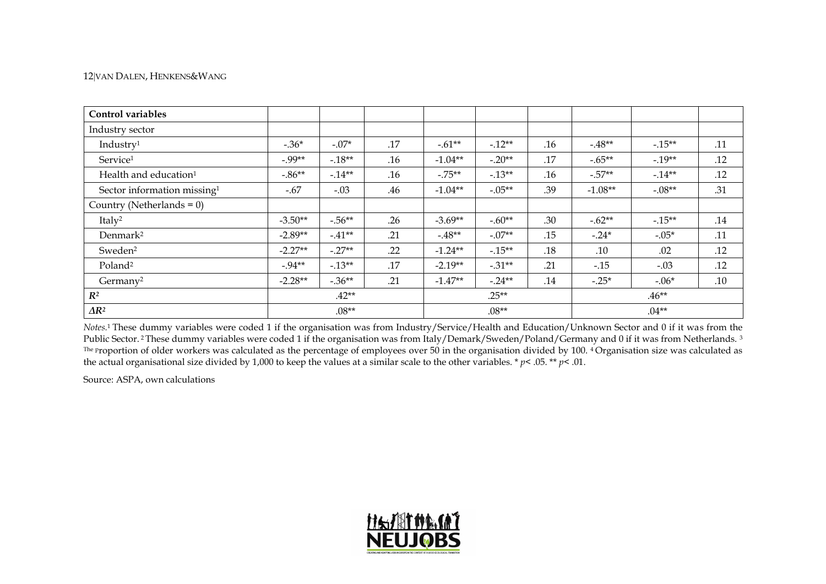#### 12VAN DALEN, HENKENS&WANG

| Control variables                       |           |           |     |           |          |         |           |          |     |
|-----------------------------------------|-----------|-----------|-----|-----------|----------|---------|-----------|----------|-----|
| Industry sector                         |           |           |     |           |          |         |           |          |     |
| Industry <sup>1</sup>                   | $-.36*$   | $-.07*$   | .17 | $-.61**$  | $-.12**$ | .16     | $-48**$   | $-.15**$ | .11 |
| Service <sup>1</sup>                    | $-0.99**$ | $-18**$   | .16 | $-1.04**$ | $-.20**$ | .17     | $-.65**$  | $-19**$  | .12 |
| Health and education <sup>1</sup>       | $-0.86**$ | $-14**$   | .16 | $-.75**$  | $-.13**$ | .16     | $-.57**$  | $-14**$  | .12 |
| Sector information missing <sup>1</sup> | $-.67$    | $-.03$    | .46 | $-1.04**$ | $-.05**$ | .39     | $-1.08**$ | $-.08**$ | .31 |
| Country (Netherlands = $0$ )            |           |           |     |           |          |         |           |          |     |
| Italy <sup>2</sup>                      | $-3.50**$ | $-.56**$  | .26 | $-3.69**$ | $-.60**$ | .30     | $-.62**$  | $-15**$  | .14 |
| Denmark <sup>2</sup>                    | $-2.89**$ | $-41**$   | .21 | $-48**$   | $-.07**$ | .15     | $-.24*$   | $-.05*$  | .11 |
| Sweden <sup>2</sup>                     | $-2.27**$ | $-.27**$  | .22 | $-1.24**$ | $-.15**$ | .18     | .10       | .02      | .12 |
| Poland <sup>2</sup>                     | $-0.94**$ | $-0.13**$ | .17 | $-2.19**$ | $-.31**$ | .21     | $-0.15$   | $-.03$   | .12 |
| Germany <sup>2</sup>                    | $-2.28**$ | $-.36**$  | .21 | $-1.47**$ | $-.24**$ | .14     | $-.25*$   | $-.06*$  | .10 |
| $R^2$                                   |           | $.42**$   |     |           | $.25**$  |         |           | $.46**$  |     |
| $\Delta R^2$                            |           | $.08**$   |     | $.08**$   |          | $.04**$ |           |          |     |

*Notes.* <sup>1</sup> These dummy variables were coded 1 if the organisation was from Industry/Service/Health and Education/Unknown Sector and 0 if it was from the Public Sector.<sup>2</sup> These dummy variables were coded 1 if the organisation was from Italy/Demark/Sweden/Poland/Germany and 0 if it was from Netherlands.<sup>3</sup> The proportion of older workers was calculated as the percentage of employees over 50 in the organisation divided by 100. <sup>4</sup> Organisation size was calculated as the actual organisational size divided by 1,000 to keep the values at a similar scale to the other variables. \* *p*< .05. \*\* *p*< .01.

Source: ASPA, own calculations

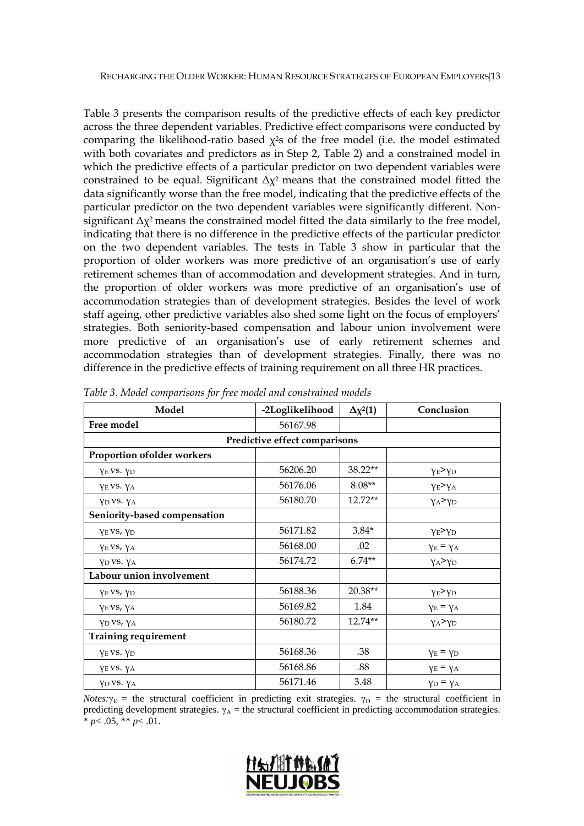Table 3 presents the comparison results of the predictive effects of each key predictor across the three dependent variables. Predictive effect comparisons were conducted by comparing the likelihood-ratio based  $\chi^2$ s of the free model (i.e. the model estimated with both covariates and predictors as in Step 2, Table 2) and a constrained model in which the predictive effects of a particular predictor on two dependent variables were constrained to be equal. Significant  $\Delta \chi^2$  means that the constrained model fitted the data significantly worse than the free model, indicating that the predictive effects of the particular predictor on the two dependent variables were significantly different. Nonsignificant  $\Delta \chi^2$  means the constrained model fitted the data similarly to the free model, indicating that there is no difference in the predictive effects of the particular predictor on the two dependent variables. The tests in Table 3 show in particular that the proportion of older workers was more predictive of an organisation's use of early retirement schemes than of accommodation and development strategies. And in turn, the proportion of older workers was more predictive of an organisation's use of accommodation strategies than of development strategies. Besides the level of work staff ageing, other predictive variables also shed some light on the focus of employers' strategies. Both seniority-based compensation and labour union involvement were more predictive of an organisation's use of early retirement schemes and accommodation strategies than of development strategies. Finally, there was no difference in the predictive effects of training requirement on all three HR practices.

| Model                         | -2Loglikelihood | $\Delta \chi^2(1)$ | Conclusion                    |  |  |  |  |  |  |  |
|-------------------------------|-----------------|--------------------|-------------------------------|--|--|--|--|--|--|--|
| Free model                    | 56167.98        |                    |                               |  |  |  |  |  |  |  |
| Predictive effect comparisons |                 |                    |                               |  |  |  |  |  |  |  |
| Proportion of older workers   |                 |                    |                               |  |  |  |  |  |  |  |
| YE VS. YD                     | 56206.20        | 38.22**            | YE > YD                       |  |  |  |  |  |  |  |
| YEVS. YA                      | 56176.06        | $8.08**$           | $\gamma_E > \gamma_A$         |  |  |  |  |  |  |  |
| YD VS. YA                     | 56180.70        | $12.72**$          | $\gamma$ A $>$ Y <sub>D</sub> |  |  |  |  |  |  |  |
| Seniority-based compensation  |                 |                    |                               |  |  |  |  |  |  |  |
| YEVS, YD                      | 56171.82        | $3.84*$            | $\gamma_E > \gamma_D$         |  |  |  |  |  |  |  |
| YEVS, YA                      | 56168.00        | .02                | $\gamma_E = \gamma_A$         |  |  |  |  |  |  |  |
| YD VS. YA                     | 56174.72        | $6.74**$           | $\gamma$ A $>$ $\gamma$ D     |  |  |  |  |  |  |  |
| Labour union involvement      |                 |                    |                               |  |  |  |  |  |  |  |
| YEVS, YD                      | 56188.36        | 20.38**            | YE > YD                       |  |  |  |  |  |  |  |
| YE VS, YA                     | 56169.82        | 1.84               | $\gamma_E = \gamma_A$         |  |  |  |  |  |  |  |
| YD VS, YA                     | 56180.72        | 12.74**            | $\gamma_A > \gamma_D$         |  |  |  |  |  |  |  |
| <b>Training requirement</b>   |                 |                    |                               |  |  |  |  |  |  |  |
| YE VS. YD                     | 56168.36        | .38                | $\gamma_E = \gamma_D$         |  |  |  |  |  |  |  |
| YE VS. YA                     | 56168.86        | .88                | $\gamma_E = \gamma_A$         |  |  |  |  |  |  |  |
| YD VS. YA                     | 56171.46        | 3.48               | $\gamma_D = \gamma_A$         |  |  |  |  |  |  |  |

<span id="page-14-0"></span>*Table 3. Model comparisons for free model and constrained models*

*Notes:* $\gamma_E$  = the structural coefficient in predicting exit strategies.  $\gamma_D$  = the structural coefficient in predicting development strategies.  $\gamma_A$  = the structural coefficient in predicting accommodation strategies. \* *p*< .05, \*\* *p*< .01.

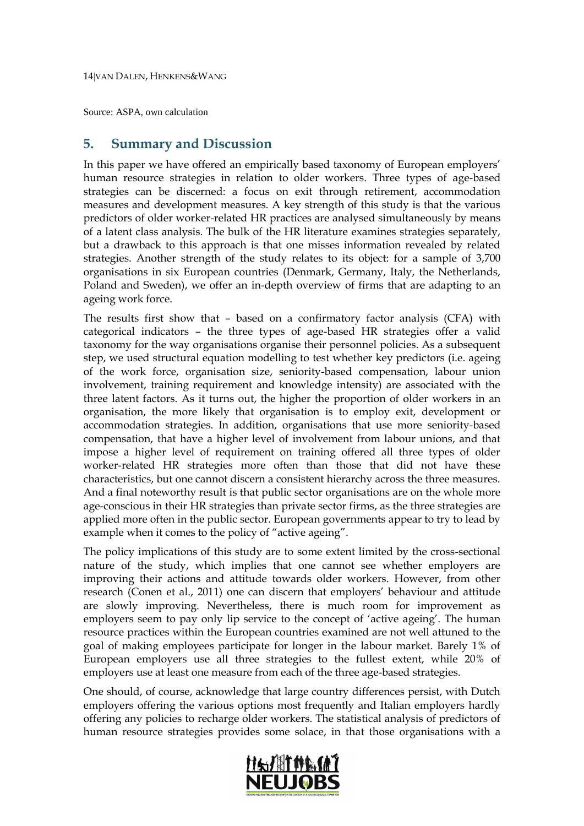Source: ASPA, own calculation

## <span id="page-15-0"></span>**5. Summary and Discussion**

In this paper we have offered an empirically based taxonomy of European employers' human resource strategies in relation to older workers. Three types of age-based strategies can be discerned: a focus on exit through retirement, accommodation measures and development measures. A key strength of this study is that the various predictors of older worker-related HR practices are analysed simultaneously by means of a latent class analysis. The bulk of the HR literature examines strategies separately, but a drawback to this approach is that one misses information revealed by related strategies. Another strength of the study relates to its object: for a sample of 3,700 organisations in six European countries (Denmark, Germany, Italy, the Netherlands, Poland and Sweden), we offer an in-depth overview of firms that are adapting to an ageing work force.

The results first show that – based on a confirmatory factor analysis (CFA) with categorical indicators – the three types of age-based HR strategies offer a valid taxonomy for the way organisations organise their personnel policies. As a subsequent step, we used structural equation modelling to test whether key predictors (i.e. ageing of the work force, organisation size, seniority-based compensation, labour union involvement, training requirement and knowledge intensity) are associated with the three latent factors. As it turns out, the higher the proportion of older workers in an organisation, the more likely that organisation is to employ exit, development or accommodation strategies. In addition, organisations that use more seniority-based compensation, that have a higher level of involvement from labour unions, and that impose a higher level of requirement on training offered all three types of older worker-related HR strategies more often than those that did not have these characteristics, but one cannot discern a consistent hierarchy across the three measures. And a final noteworthy result is that public sector organisations are on the whole more age-conscious in their HR strategies than private sector firms, as the three strategies are applied more often in the public sector. European governments appear to try to lead by example when it comes to the policy of "active ageing".

The policy implications of this study are to some extent limited by the cross-sectional nature of the study, which implies that one cannot see whether employers are improving their actions and attitude towards older workers. However, from other research [\(Conen et al.,](#page-17-16) 2011) one can discern that employers' behaviour and attitude are slowly improving. Nevertheless, there is much room for improvement as employers seem to pay only lip service to the concept of 'active ageing'. The human resource practices within the European countries examined are not well attuned to the goal of making employees participate for longer in the labour market. Barely 1% of European employers use all three strategies to the fullest extent, while 20% of employers use at least one measure from each of the three age-based strategies.

One should, of course, acknowledge that large country differences persist, with Dutch employers offering the various options most frequently and Italian employers hardly offering any policies to recharge older workers. The statistical analysis of predictors of human resource strategies provides some solace, in that those organisations with a

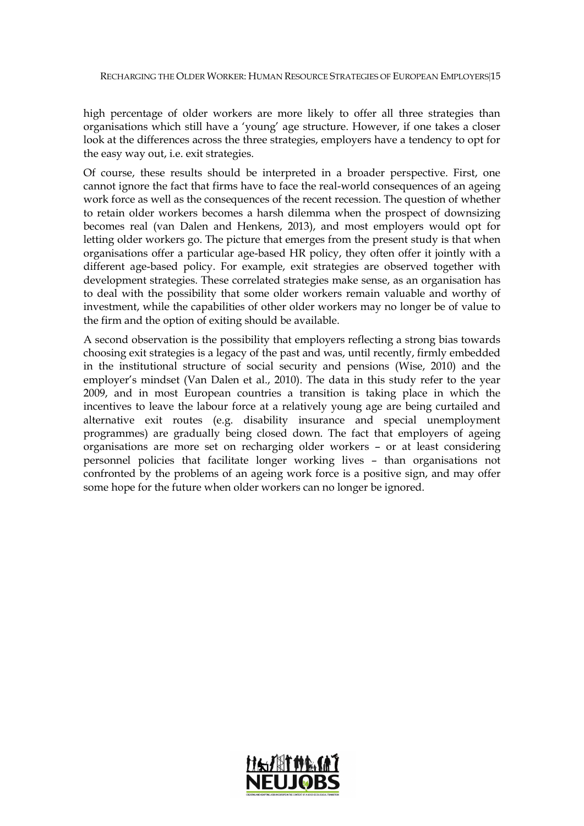high percentage of older workers are more likely to offer all three strategies than organisations which still have a 'young' age structure. However, if one takes a closer look at the differences across the three strategies, employers have a tendency to opt for the easy way out, i.e. exit strategies.

Of course, these results should be interpreted in a broader perspective. First, one cannot ignore the fact that firms have to face the real-world consequences of an ageing work force as well as the consequences of the recent recession. The question of whether to retain older workers becomes a harsh dilemma when the prospect of downsizing becomes real [\(van Dalen and Henkens,](#page-18-15) 2013), and most employers would opt for letting older workers go. The picture that emerges from the present study is that when organisations offer a particular age-based HR policy, they often offer it jointly with a different age-based policy. For example, exit strategies are observed together with development strategies. These correlated strategies make sense, as an organisation has to deal with the possibility that some older workers remain valuable and worthy of investment, while the capabilities of other older workers may no longer be of value to the firm and the option of exiting should be available.

A second observation is the possibility that employers reflecting a strong bias towards choosing exit strategies is a legacy of the past and was, until recently, firmly embedded in the institutional structure of social security and pensions [\(Wise,](#page-19-1) 2010) and the employer's mindset [\(Van Dalen et al.,](#page-19-2) 2010). The data in this study refer to the year 2009, and in most European countries a transition is taking place in which the incentives to leave the labour force at a relatively young age are being curtailed and alternative exit routes (e.g. disability insurance and special unemployment programmes) are gradually being closed down. The fact that employers of ageing organisations are more set on recharging older workers – or at least considering personnel policies that facilitate longer working lives – than organisations not confronted by the problems of an ageing work force is a positive sign, and may offer some hope for the future when older workers can no longer be ignored.

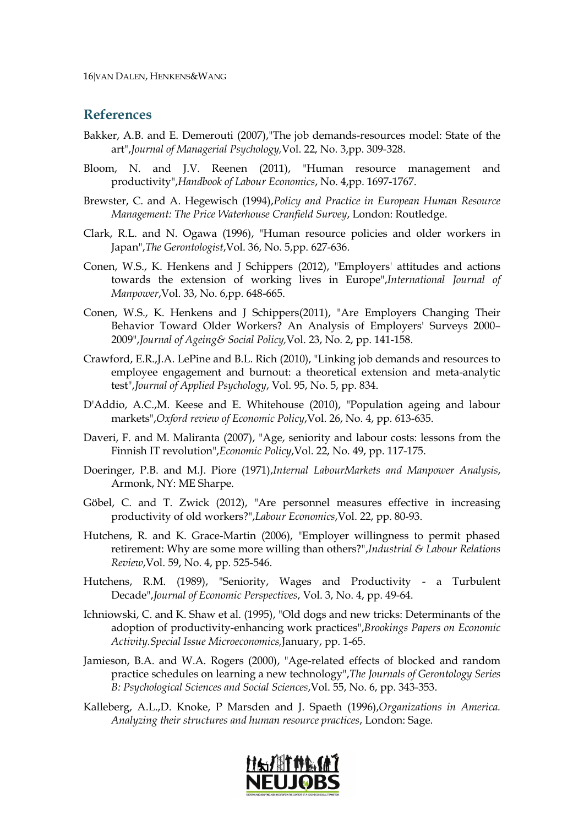#### <span id="page-17-0"></span>**References**

- <span id="page-17-6"></span>Bakker, A.B. and E. Demerouti (2007),"The job demands-resources model: State of the art",*Journal of Managerial Psychology,*Vol. 22, No. 3,pp. 309-328.
- <span id="page-17-8"></span>Bloom, N. and J.V. Reenen (2011), "Human resource management and productivity",*Handbook of Labour Economics*, No. 4,pp. 1697-1767.
- <span id="page-17-14"></span>Brewster, C. and A. Hegewisch (1994),*Policy and Practice in European Human Resource Management: The Price Waterhouse Cranfield Survey*, London: Routledge.
- <span id="page-17-2"></span>Clark, R.L. and N. Ogawa (1996), "Human resource policies and older workers in Japan",*The Gerontologist*,Vol. 36, No. 5,pp. 627-636.
- <span id="page-17-13"></span>Conen, W.S., K. Henkens and J Schippers (2012), "Employers' attitudes and actions towards the extension of working lives in Europe",*International Journal of Manpower*,Vol. 33, No. 6,pp. 648-665.
- <span id="page-17-16"></span>Conen, W.S., K. Henkens and J Schippers(2011), "Are Employers Changing Their Behavior Toward Older Workers? An Analysis of Employers' Surveys 2000– 2009",*Journal of Ageing& Social Policy,*Vol. 23, No. 2, pp. 141-158.
- <span id="page-17-5"></span>Crawford, E.R.,J.A. LePine and B.L. Rich (2010), "Linking job demands and resources to employee engagement and burnout: a theoretical extension and meta-analytic test",*Journal of Applied Psychology*, Vol. 95, No. 5, pp. 834.
- <span id="page-17-1"></span>D'Addio, A.C.,M. Keese and E. Whitehouse (2010), "Population ageing and labour markets",*Oxford review of Economic Policy*,Vol. 26, No. 4, pp. 613-635.
- <span id="page-17-9"></span>Daveri, F. and M. Maliranta (2007), "Age, seniority and labour costs: lessons from the Finnish IT revolution",*Economic Policy*,Vol. 22, No. 49, pp. 117-175.
- <span id="page-17-12"></span>Doeringer, P.B. and M.J. Piore (1971),*Internal LabourMarkets and Manpower Analysis*, Armonk, NY: ME Sharpe.
- <span id="page-17-10"></span>Göbel, C. and T. Zwick (2012), "Are personnel measures effective in increasing productivity of old workers?",*Labour Economics*,Vol. 22, pp. 80-93.
- <span id="page-17-3"></span>Hutchens, R. and K. Grace-Martin (2006), "Employer willingness to permit phased retirement: Why are some more willing than others?",*Industrial & Labour Relations Review*,Vol. 59, No. 4, pp. 525-546.
- <span id="page-17-7"></span>Hutchens, R.M. (1989), "Seniority, Wages and Productivity - a Turbulent Decade",*Journal of Economic Perspectives*, Vol. 3, No. 4, pp. 49-64.
- <span id="page-17-4"></span>Ichniowski, C. and K. Shaw et al. (1995), "Old dogs and new tricks: Determinants of the adoption of productivity-enhancing work practices",*Brookings Papers on Economic Activity.Special Issue Microeconomics,*January, pp. 1-65.
- <span id="page-17-11"></span>Jamieson, B.A. and W.A. Rogers (2000), "Age-related effects of blocked and random practice schedules on learning a new technology",*The Journals of Gerontology Series B: Psychological Sciences and Social Sciences*,Vol. 55, No. 6, pp. 343-353.
- <span id="page-17-15"></span>Kalleberg, A.L.,D. Knoke, P Marsden and J. Spaeth (1996),*Organizations in America. Analyzing their structures and human resource practices*, London: Sage.

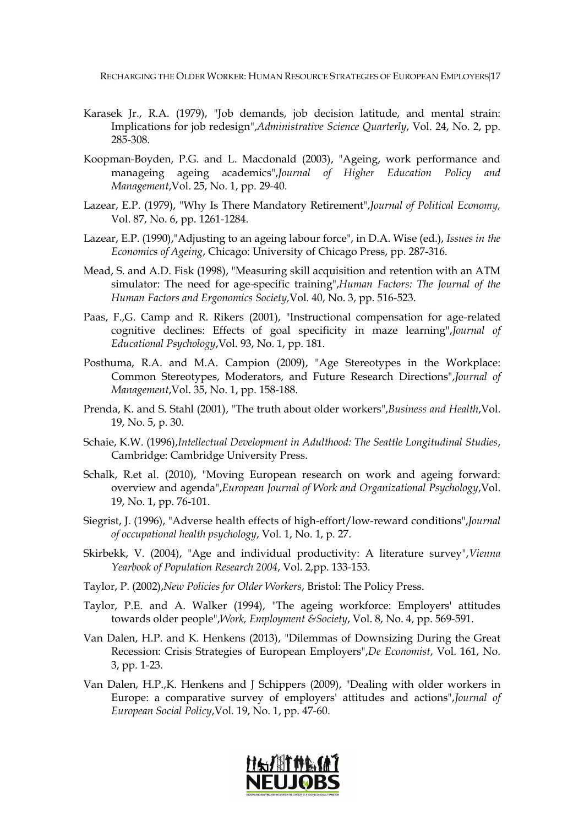RECHARGING THE OLDER WORKER: HUMAN RESOURCE STRATEGIES OF EUROPEAN EMPLOYERS17

- <span id="page-18-2"></span>Karasek Jr., R.A. (1979), "Job demands, job decision latitude, and mental strain: Implications for job redesign",*Administrative Science Quarterly*, Vol. 24, No. 2, pp. 285-308.
- <span id="page-18-8"></span>Koopman-Boyden, P.G. and L. Macdonald (2003), "Ageing, work performance and manageing ageing academics",*Journal of Higher Education Policy and Management*,Vol. 25, No. 1, pp. 29-40.
- <span id="page-18-4"></span>Lazear, E.P. (1979), "Why Is There Mandatory Retirement",*Journal of Political Economy,*  Vol. 87, No. 6, pp. 1261-1284.
- <span id="page-18-13"></span>Lazear, E.P. (1990),"Adjusting to an ageing labour force", in D.A. Wise (ed.), *Issues in the Economics of Ageing*, Chicago: University of Chicago Press, pp. 287-316.
- <span id="page-18-11"></span>Mead, S. and A.D. Fisk (1998), "Measuring skill acquisition and retention with an ATM simulator: The need for age-specific training",*Human Factors: The Journal of the Human Factors and Ergonomics Society,*Vol. 40, No. 3, pp. 516-523.
- <span id="page-18-12"></span>Paas, F.,G. Camp and R. Rikers (2001), "Instructional compensation for age-related cognitive declines: Effects of goal specificity in maze learning",*Journal of Educational Psychology*,Vol. 93, No. 1, pp. 181.
- <span id="page-18-5"></span>Posthuma, R.A. and M.A. Campion (2009), "Age Stereotypes in the Workplace: Common Stereotypes, Moderators, and Future Research Directions",*Journal of Management*,Vol. 35, No. 1, pp. 158-188.
- <span id="page-18-7"></span>Prenda, K. and S. Stahl (2001), "The truth about older workers",*Business and Health*,Vol. 19, No. 5, p. 30.
- <span id="page-18-6"></span>Schaie, K.W. (1996),*Intellectual Development in Adulthood: The Seattle Longitudinal Studies*, Cambridge: Cambridge University Press.
- <span id="page-18-10"></span>Schalk, R.et al. (2010), "Moving European research on work and ageing forward: overview and agenda",*European Journal of Work and Organizational Psychology*,Vol. 19, No. 1, pp. 76-101.
- <span id="page-18-3"></span>Siegrist, J. (1996), "Adverse health effects of high-effort/low-reward conditions",*Journal of occupational health psychology*, Vol. 1, No. 1, p. 27.
- <span id="page-18-9"></span>Skirbekk, V. (2004), "Age and individual productivity: A literature survey",*Vienna Yearbook of Population Research 2004*, Vol. 2,pp. 133-153.
- <span id="page-18-0"></span>Taylor, P. (2002),*New Policies for Older Workers*, Bristol: The Policy Press.
- <span id="page-18-1"></span>Taylor, P.E. and A. Walker (1994), "The ageing workforce: Employers' attitudes towards older people",*Work, Employment &Society*, Vol. 8, No. 4, pp. 569-591.
- <span id="page-18-15"></span>Van Dalen, H.P. and K. Henkens (2013), "Dilemmas of Downsizing During the Great Recession: Crisis Strategies of European Employers",*De Economist*, Vol. 161, No. 3, pp. 1-23.
- <span id="page-18-14"></span>Van Dalen, H.P.,K. Henkens and J Schippers (2009), "Dealing with older workers in Europe: a comparative survey of employers' attitudes and actions",*Journal of European Social Policy*,Vol. 19, No. 1, pp. 47-60.